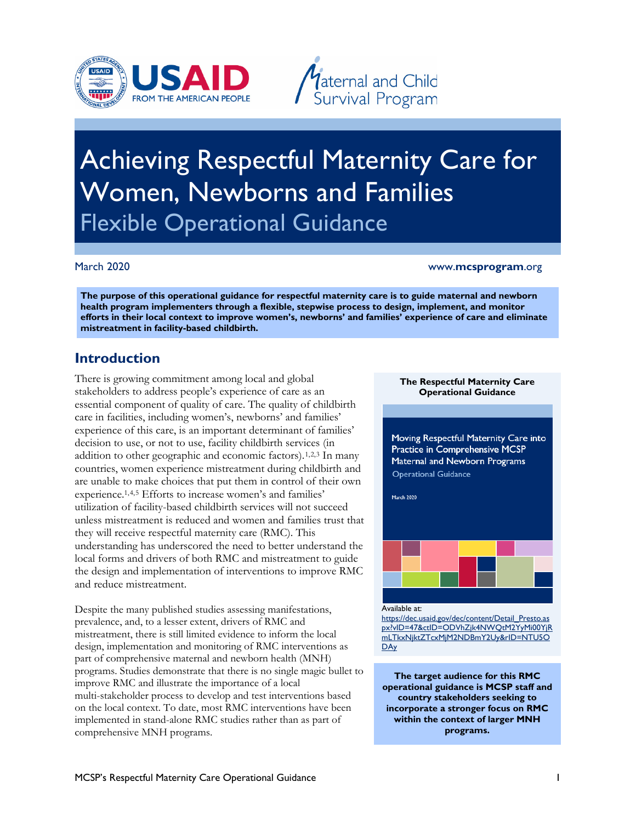



# Women, Newborns and Families<br>Flexible Operational Guidance Achieving Respectful Maternity Care for

### March 2020 www.**mcsprogram**.org

 **mistreatment in facility-based childbirth. The purpose of this operational guidance for respectful maternity care is to guide maternal and newborn health program implementers through a flexible, stepwise process to design, implement, and monitor efforts in their local context to improve women's, newborns' and families' experience of care and eliminate** 

# **Introduction**

 There is growing commitment among local and global essential component of quality of care. The quality of childbirth are unable to make choices that put them in control of their own they will receive respectful maternity care (RMC). This local forms and drivers of both RMC and mistreatment to guide stakeholders to address people's experience of care as an care in facilities, including women's, newborns' and families' experience of this care, is an important determinant of families' decision to use, or not to use, facility childbirth services (in addition to other geographic and economic factors).[1](#page-5-0),[2](#page-5-1),[3](#page-5-2) In many countries, women experience mistreatment during childbirth and experience.1,[4](#page-5-3),[5](#page-5-4) Efforts to increase women's and families' utilization of facility-based childbirth services will not succeed unless mistreatment is reduced and women and families trust that understanding has underscored the need to better understand the the design and implementation of interventions to improve RMC and reduce mistreatment.

Despite the many published studies assessing manifestations, prevalence, and, to a lesser extent, drivers of RMC and mistreatment, there is still limited evidence to inform the local design, implementation and monitoring of RMC interventions as part of comprehensive maternal and newborn health (MNH) programs. Studies demonstrate that there is no single magic bullet to improve RMC and illustrate the importance of a local multi-stakeholder process to develop and test interventions based on the local context. To date, most RMC interventions have been implemented in stand-alone RMC studies rather than as part of comprehensive MNH programs.

#### **The Respectful Maternity Care Operational Guidance**

**Moving Respectful Maternity Care into Practice in Comprehensive MCSP Maternal and Newborn Programs**  Operational Guidance

**March** 2020



Available at:

https://dec.usaid.gov/dec/content/Detail\_Presto.as [px?vID=47&ctID=ODVhZjk4NWQtM2YyMi00YjR](https://dec.usaid.gov/dec/content/Detail_Presto.aspx?vID=47&ctID=ODVhZjk4NWQtM2YyMi00YjRmLTkxNjktZTcxMjM2NDBmY2Uy&rID=NTU5ODAy)  [mLTkxNjktZTcxMjM2NDBmY2Uy&rID=NTU5O](https://dec.usaid.gov/dec/content/Detail_Presto.aspx?vID=47&ctID=ODVhZjk4NWQtM2YyMi00YjRmLTkxNjktZTcxMjM2NDBmY2Uy&rID=NTU5ODAy)  **DAy** 

**The target audience for this RMC operational guidance is MCSP staff and country stakeholders seeking to incorporate a stronger focus on RMC within the context of larger MNH programs.**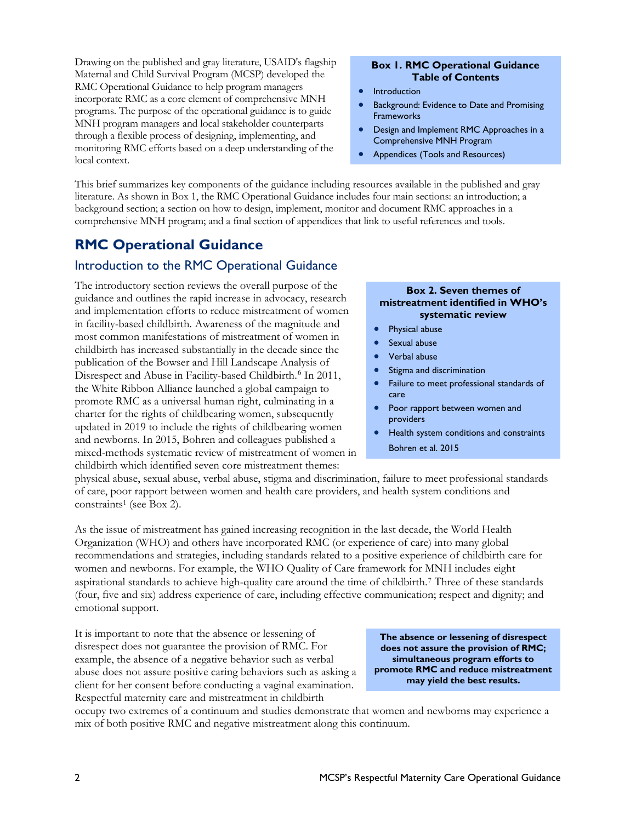Drawing on the published and gray literature, USAID's flagship RMC Operational Guidance to help program managers monitoring RMC efforts based on a deep understanding of the Maternal and Child Survival Program (MCSP) developed the incorporate RMC as a core element of comprehensive MNH programs. The purpose of the operational guidance is to guide MNH program managers and local stakeholder counterparts through a flexible process of designing, implementing, and local context.

#### **Box 1. RMC Operational Guidance Table of Contents**

- **Introduction**
- Background: Evidence to Date and Promising **Frameworks**
- Comprehensive MNH Program • Design and Implement RMC Approaches in a
- Appendices (Tools and Resources)

 This brief summarizes key components of the guidance including resources available in the published and gray literature. As shown in Box 1, the RMC Operational Guidance includes four main sections: an introduction; a background section; a section on how to design, implement, monitor and document RMC approaches in a comprehensive MNH program; and a final section of appendices that link to useful references and tools.

# **RMC Operational Guidance**

## Introduction to the RMC Operational Guidance

 and implementation efforts to reduce mistreatment of women publication of the Bowser and Hill Landscape Analysis of Disrespect and Abuse in Facility-based Childbirth.<sup>[6](#page-5-5)</sup> In 2011, and newborns. In 2015, Bohren and colleagues published a mixed-methods systematic review of mistreatment of women in The introductory section reviews the overall purpose of the guidance and outlines the rapid increase in advocacy, research in facility-based childbirth. Awareness of the magnitude and most common manifestations of mistreatment of women in childbirth has increased substantially in the decade since the the White Ribbon Alliance launched a global campaign to promote RMC as a universal human right, culminating in a charter for the rights of childbearing women, subsequently updated in 2019 to include the rights of childbearing women childbirth which identified seven core mistreatment themes:

### **Box 2. Seven themes of mistreatment identified in WHO's systematic review**

- Physical abuse
- Sexual abuse
- Verbal abuse
- Stigma and discrimination
- Failure to meet professional standards of care
- Poor rapport between women and providers
- Health system conditions and constraints Bohren et al. 2015

 physical abuse, sexual abuse, verbal abuse, stigma and discrimination, failure to meet professional standards constraints<sup>1</sup> (see Box 2). of care, poor rapport between women and health care providers, and health system conditions and

 As the issue of mistreatment has gained increasing recognition in the last decade, the World Health Organization (WHO) and others have incorporated RMC (or experience of care) into many global recommendations and strategies, including standards related to a positive experience of childbirth care for women and newborns. For example, the WHO Quality of Care framework for MNH includes eight emotional support. aspirational standards to achieve high-quality care around the time of childbirth.[7](#page-5-6) Three of these standards (four, five and six) address experience of care, including effective communication; respect and dignity; and

 emotional support. It is important to note that the absence or lessening of client for her consent before conducting a vaginal examination. disrespect does not guarantee the provision of RMC. For example, the absence of a negative behavior such as verbal abuse does not assure positive caring behaviors such as asking a Respectful maternity care and mistreatment in childbirth

**The absence or lessening of disrespect does not assure the provision of RMC; simultaneous program efforts to promote RMC and reduce mistreatment may yield the best results.** 

occupy two extremes of a continuum and studies demonstrate that women and newborns may experience a mix of both positive RMC and negative mistreatment along this continuum.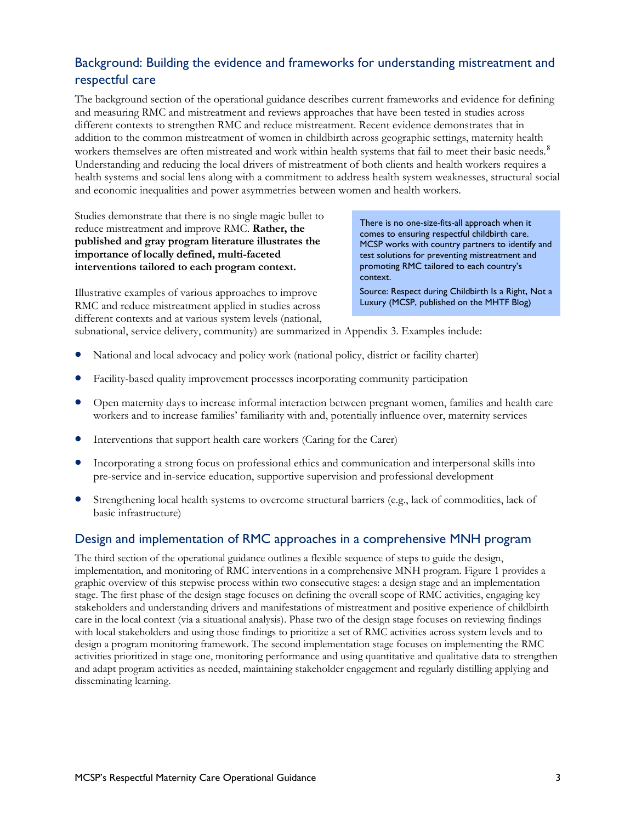# Background: Building the evidence and frameworks for understanding mistreatment and respectful care

 The background section of the operational guidance describes current frameworks and evidence for defining Understanding and reducing the local drivers of mistreatment of both clients and health workers requires a and measuring RMC and mistreatment and reviews approaches that have been tested in studies across different contexts to strengthen RMC and reduce mistreatment. Recent evidence demonstrates that in addition to the common mistreatment of women in childbirth across geographic settings, maternity health workers themselves are often mistreated and work within health systems that fail to meet their basic needs.<sup>[8](#page-5-7)</sup> health systems and social lens along with a commitment to address health system weaknesses, structural social and economic inequalities and power asymmetries between women and health workers.

 Studies demonstrate that there is no single magic bullet to **interventions tailored to each program context. promoting RMC** tailored to each country's but and the state is no single magne but to<br>reduce mistreatment and improve RMC. Rather, the<br>published and gray program literature illustrates the<br>importance of locally defined, multi-faceted<br>importance of locally defined,

test solutions for preventing mistreatment and<br>promoting RMC tailored to each country's context.

Illustrative examples of various approaches to improve Source: Respect during Childbirth Is a Right, Not a RMC and reduce mistreatment applied in studies across [Luxury](https://www.mhtf.org/2016/04/13/respect-during-childbirth-is-a-right-not-a-luxury/) (MCSP, published on the MHTF Blog) different contexts and at various system levels (national,

subnational, service delivery, community) are summarized in Appendix 3. Examples include:

- National and local advocacy and policy work (national policy, district or facility charter)
- Facility-based quality improvement processes incorporating community participation
- Open maternity days to increase informal interaction between pregnant women, families and health care workers and to increase families' familiarity with and, potentially influence over, maternity services
- Interventions that support health care workers (Caring for the Carer)
- Incorporating a strong focus on professional ethics and communication and interpersonal skills into pre-service and in-service education, supportive supervision and professional development
- Strengthening local health systems to overcome structural barriers (e.g., lack of commodities, lack of basic infrastructure)

# Design and implementation of RMC approaches in a comprehensive MNH program

 implementation, and monitoring of RMC interventions in a comprehensive MNH program. Figure 1 provides a stage. The first phase of the design stage focuses on defining the overall scope of RMC activities, engaging key design a program monitoring framework. The second implementation stage focuses on implementing the RMC The third section of the operational guidance outlines a flexible sequence of steps to guide the design, graphic overview of this stepwise process within two consecutive stages: a design stage and an implementation stakeholders and understanding drivers and manifestations of mistreatment and positive experience of childbirth care in the local context (via a situational analysis). Phase two of the design stage focuses on reviewing findings with local stakeholders and using those findings to prioritize a set of RMC activities across system levels and to activities prioritized in stage one, monitoring performance and using quantitative and qualitative data to strengthen and adapt program activities as needed, maintaining stakeholder engagement and regularly distilling applying and disseminating learning.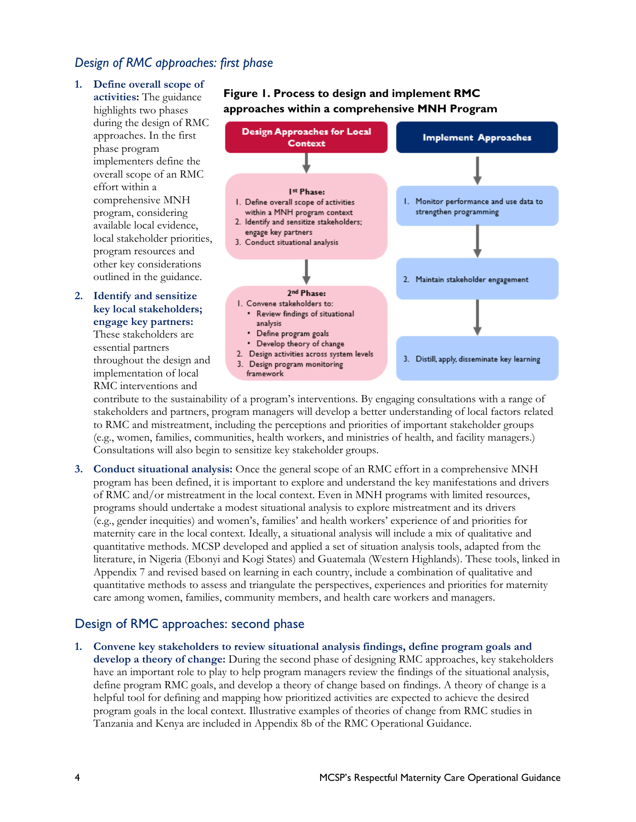## *Design of RMC approaches: first phase*

- during the design of RMC approaches. In the first implementers define the **activities:** The guidance highlights two phases **1. Define overall scope of**  phase program overall scope of an RMC effort within a comprehensive MNH program, considering available local evidence, local stakeholder priorities, program resources and other key considerations outlined in the guidance.
- **2. Identify and sensitize key local stakeholders; engage key partners:**  These stakeholders are essential partners throughout the design and implementation of local RMC interventions and

## **Figure 1. Process to design and implement RMC approaches within a comprehensive MNH Program**



 stakeholders and partners, program managers will develop a better understanding of local factors related contribute to the sustainability of a program's interventions. By engaging consultations with a range of to RMC and mistreatment, including the perceptions and priorities of important stakeholder groups (e.g., women, families, communities, health workers, and ministries of health, and facility managers.) Consultations will also begin to sensitize key stakeholder groups.

 (e.g., gender inequities) and women's, families' and health workers' experience of and priorities for quantitative methods. MCSP developed and applied a set of situation analysis tools, adapted from the literature, in Nigeria (Ebonyi and Kogi States) and Guatemala (Western Highlands). These tools, linked in Appendix 7 and revised based on learning in each country, include a combination of qualitative and **3. Conduct situational analysis:** Once the general scope of an RMC effort in a comprehensive MNH program has been defined, it is important to explore and understand the key manifestations and drivers of RMC and/or mistreatment in the local context. Even in MNH programs with limited resources, programs should undertake a modest situational analysis to explore mistreatment and its drivers maternity care in the local context. Ideally, a situational analysis will include a mix of qualitative and quantitative methods to assess and triangulate the perspectives, experiences and priorities for maternity care among women, families, community members, and health care workers and managers.

# Design of RMC approaches: second phase

**1. Convene key stakeholders to review situational analysis findings, define program goals and develop a theory of change:** During the second phase of designing RMC approaches, key stakeholders have an important role to play to help program managers review the findings of the situational analysis, define program RMC goals, and develop a theory of change based on findings. A theory of change is a helpful tool for defining and mapping how prioritized activities are expected to achieve the desired program goals in the local context. Illustrative examples of theories of change from RMC studies in Tanzania and Kenya are included in Appendix 8b of the RMC Operational Guidance.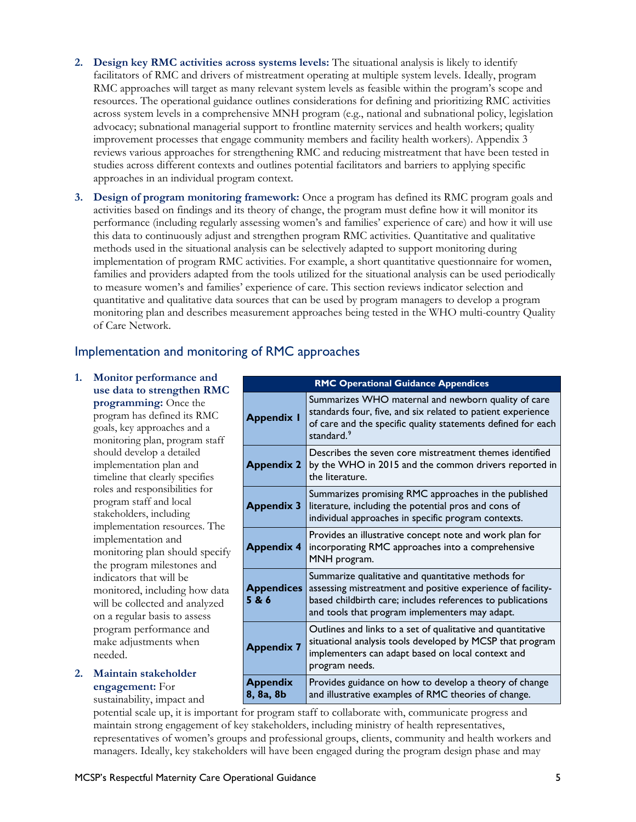- resources. The operational guidance outlines considerations for defining and prioritizing RMC activities across system levels in a comprehensive MNH program (e.g., national and subnational policy, legislation **2. Design key RMC activities across systems levels:** The situational analysis is likely to identify facilitators of RMC and drivers of mistreatment operating at multiple system levels. Ideally, program RMC approaches will target as many relevant system levels as feasible within the program's scope and advocacy; subnational managerial support to frontline maternity services and health workers; quality improvement processes that engage community members and facility health workers). Appendix 3 reviews various approaches for strengthening RMC and reducing mistreatment that have been tested in studies across different contexts and outlines potential facilitators and barriers to applying specific approaches in an individual program context.
- **3. Design of program monitoring framework:** Once a program has defined its RMC program goals and performance (including regularly assessing women's and families' experience of care) and how it will use this data to continuously adjust and strengthen program RMC activities. Quantitative and qualitative families and providers adapted from the tools utilized for the situational analysis can be used periodically quantitative and qualitative data sources that can be used by program managers to develop a program activities based on findings and its theory of change, the program must define how it will monitor its methods used in the situational analysis can be selectively adapted to support monitoring during implementation of program RMC activities. For example, a short quantitative questionnaire for women, to measure women's and families' experience of care. This section reviews indicator selection and monitoring plan and describes measurement approaches being tested in the WHO multi-country Quality of Care Network.

# Implementation and monitoring of RMC approaches

- program staff and local on a regular basis to assess **1. Monitor performance and use data to strengthen RMC programming:** Once the program has defined its RMC goals, key approaches and a monitoring plan, program staff should develop a detailed implementation plan and timeline that clearly specifies roles and responsibilities for stakeholders, including implementation resources. The implementation and monitoring plan should specify the program milestones and indicators that will be monitored, including how data will be collected and analyzed program performance and make adjustments when needed.
- **2. Maintain stakeholder engagement:** For

sustainability, impact and

 Summarizes WHO maternal and newborn quality of care standards four, five, and six related to patient experience of care and the specific quality statements defined for each Describes the seven core mistreatment themes identified by the WHO in 2015 and the common drivers reported in Summarizes promising RMC approaches in the published literature, including the potential pros and cons of individual approaches in specific program contexts. Provides an illustrative concept note and work plan for incorporating RMC approaches into a comprehensive MNH program. Summarize qualitative and quantitative methods for assessing mistreatment and positive experience of facility- based childbirth care; includes references to publications and tools that program implementers may adapt. Outlines and links to a set of qualitative and quantitative situational analysis tools developed by MCSP that program implementers can adapt based on local context and  **8, 8a, 8b**  Provides guidance on how to develop a theory of change and illustrative examples of RMC theories of change. **RMC Operational Guidance Appendices Appendix 1**  standard.<sup>[9](#page-5-8)</sup> **Appendix 2**  the literature. **Appendix 3 Appendix 4 Appendices 5 & 6 Appendix 7**  program needs. **Appendix** 

potential scale up, it is important for program staff to collaborate with, communicate progress and maintain strong engagement of key stakeholders, including ministry of health representatives, representatives of women's groups and professional groups, clients, community and health workers and managers. Ideally, key stakeholders will have been engaged during the program design phase and may